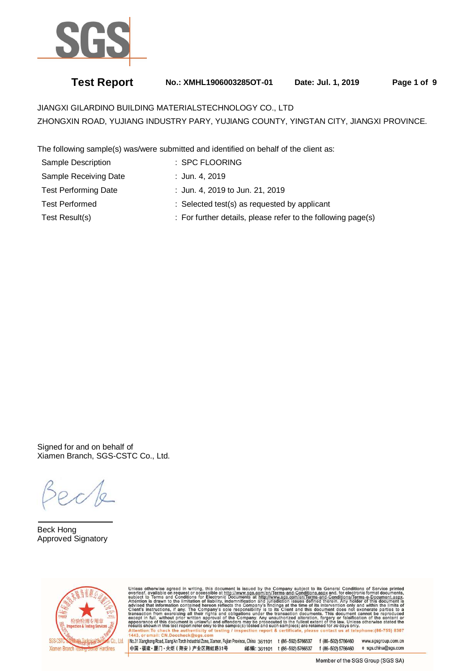

# **Test Report No.: XMHL1906003285OT-01 Date: Jul. 1, 2019 Page 1 of 9**

JIANGXI GILARDINO BUILDING MATERIALSTECHNOLOGY CO., LTD ZHONGXIN ROAD, YUJIANG INDUSTRY PARY, YUJIANG COUNTY, YINGTAN CITY, JIANGXI PROVINCE.

The following sample(s) was/were submitted and identified on behalf of the client as:

| <b>Sample Description</b>   | : SPC FLOORING                                               |
|-----------------------------|--------------------------------------------------------------|
| Sample Receiving Date       | : Jun. 4, 2019                                               |
| <b>Test Performing Date</b> | : Jun. 4, 2019 to Jun. 21, 2019                              |
| <b>Test Performed</b>       | : Selected test(s) as requested by applicant                 |
| Test Result(s)              | : For further details, please refer to the following page(s) |

Signed for and on behalf of Xiamen Branch, SGS-CSTC Co., Ltd.

 $\overline{a}$ Beck Hong Approved Signatory



Unless otherwise agreed in writing, this document is issued by the Company subject to its General Conditions of Service printed overleaf, available on request or accessible at http://www.sgs.com/en/Terms-and-Conditions.as

No.31 Xianghong Road, Xiang An Torch Industrial Zone, Xiamen, Fujian Province, China 361101 t (86-592) 5766537 f (86-592) 5766460 www.sgsgroup.com.cn 中国·福建·厦门·火炬 (翔安) 产业区翔虹路31号 邮编: 361101 t (86-592) 5766537 f (86-592) 5766460 e sgs.china@sgs.com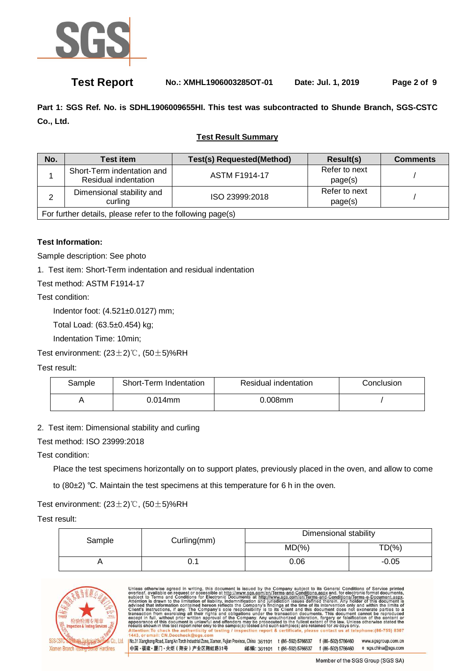

# **Test Report No.: XMHL1906003285OT-01 Date: Jul. 1, 2019 Page 2 of 9**

**Part 1: SGS Ref. No. is SDHL1906009655HI. This test was subcontracted to Shunde Branch, SGS-CSTC Co., Ltd.** 

### **Test Result Summary**

| No. | <b>Test item</b>                                           | <b>Test(s) Requested(Method)</b> | Result(s)                | <b>Comments</b> |  |  |
|-----|------------------------------------------------------------|----------------------------------|--------------------------|-----------------|--|--|
|     | Short-Term indentation and<br>Residual indentation         | <b>ASTM F1914-17</b>             | Refer to next<br>page(s) |                 |  |  |
|     | Dimensional stability and<br>curling                       | ISO 23999:2018                   | Refer to next<br>page(s) |                 |  |  |
|     | For further details, please refer to the following page(s) |                                  |                          |                 |  |  |

### **Test Information:**

Sample description: See photo

1. Test item: Short-Term indentation and residual indentation

Test method: ASTM F1914-17

Test condition:

Indentor foot: (4.521±0.0127) mm;

Total Load: (63.5±0.454) kg;

Indentation Time: 10min;

Test environment: (23±2)℃, (50±5)%RH

Test result:

| Sample | Short-Term Indentation | Residual indentation | Conclusion |
|--------|------------------------|----------------------|------------|
|        | 0.014mm                | $0.008$ mm           |            |

2. Test item: Dimensional stability and curling

Test method: ISO 23999:2018

Test condition:

Place the test specimens horizontally on to support plates, previously placed in the oven, and allow to come

to (80±2) ℃. Maintain the test specimens at this temperature for 6 h in the oven.

### Test environment: (23±2)℃, (50±5)%RH

Test result:

| Sample | Curling(mm) |      |           | Dimensional stability |  |
|--------|-------------|------|-----------|-----------------------|--|
|        |             | MD(% | $TD(\% )$ |                       |  |
|        | U. I        | 0.06 | $-0.05$   |                       |  |



| Unless otherwise agreed in writing, this document is issued by the Company subject to its General Conditions of Service printed<br>overleaf, available on request or accessible at http://www.sgs.com/en/Terms-and-Conditions.aspx and, for electronic format documents,    |                    |                    |                     |  |
|-----------------------------------------------------------------------------------------------------------------------------------------------------------------------------------------------------------------------------------------------------------------------------|--------------------|--------------------|---------------------|--|
| subject to Terms and Conditions for Electronic Documents at http://www.sgs.com/en/Terms-and-Conditions/Terms-e-Document.aspx.<br>Attention is drawn to the limitation of liability, indemnification and jurisdiction issues defined therein. Any holder of this document is |                    |                    |                     |  |
| advised that information contained hereon reflects the Company's findings at the time of its intervention only and within the limits of                                                                                                                                     |                    |                    |                     |  |
| Client's instructions, if any. The Company's sole responsibility is to its Client and this document does not exonerate parties to a<br>transaction from exercising all their rights and obligations under the transaction documents. This document cannot be reproduced     |                    |                    |                     |  |
| except in full, without prior written approval of the Company. Any unauthorized alteration, forgery or falsification of the content or                                                                                                                                      |                    |                    |                     |  |
| appearance of this document is unlawful and offenders may be prosecuted to the fullest extent of the law. Unless otherwise stated the<br>results shown in this test report refer only to the sample(s) tested and such sample(s) are retained for 30 days only.             |                    |                    |                     |  |
| Attention: To check the authenticity of testing / inspection report & certificate, please contact us at telephone: (86-755) 8307                                                                                                                                            |                    |                    |                     |  |
| 1443, or email: CN.Doccheck@sgs.com<br>No.31 Xianghong Road, Xiang'An Torch Industrial Zone, Xiamen, Fujian Province, China 361101                                                                                                                                          | t (86-592) 5766537 | f (86-592) 5766460 | www.sgsgroup.com.cn |  |
|                                                                                                                                                                                                                                                                             |                    |                    |                     |  |
| 中国・福建・厦门・火炬 (翔安) 产业区翔虹路31号<br>邮编: 361101                                                                                                                                                                                                                                    | t (86-592) 5766537 | f (86-592) 5766460 | e sgs.china@sgs.com |  |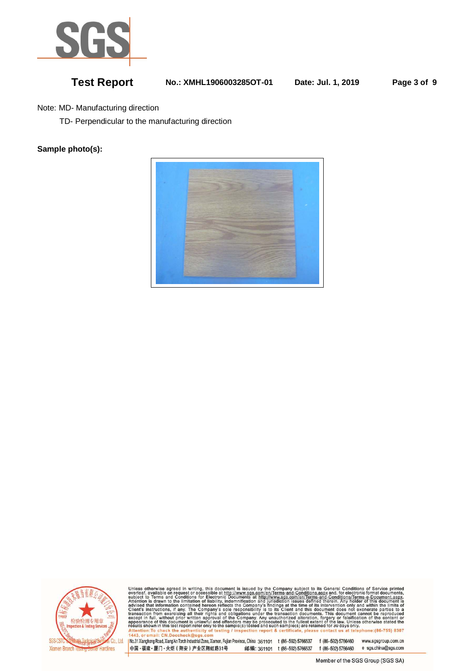

# **Test Report No.: XMHL1906003285OT-01 Date: Jul. 1, 2019 Page 3 of 9**

Note: MD- Manufacturing direction

TD- Perpendicular to the manufacturing direction

### **Sample photo(s):**





Unless otherwise agreed in writing, this document is issued by the Company subject to its General Conditions of Service printed<br>overleaf, available on request or accessible at http://www.sgs.com/en/Terms-and-Conditions.asp

No.31 Xianghong Road, Xiang An Torch Industrial Zone, Xiamen, Fujian Province, China 361101 t (86-592) 5766537 f (86-592) 5766460 www.sgsgroup.com.cn 中国·福建·厦门·火炬 (翔安) 产业区翔虹路31号 邮编: 361101 t (86-592) 5766537 f (86-592) 5766460 e sgs.china@sgs.com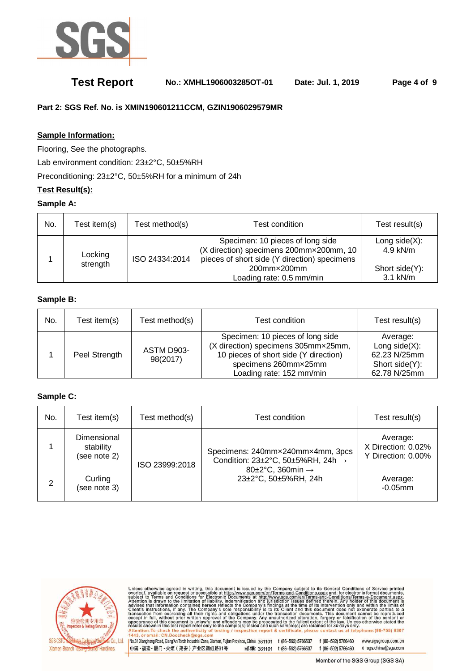

# **Test Report No.: XMHL1906003285OT-01 Date: Jul. 1, 2019 Page 4 of 9**

### **Part 2: SGS Ref. No. is XMIN190601211CCM, GZIN1906029579MR**

### **Sample Information:**

Flooring, See the photographs.

Lab environment condition: 23±2°C, 50±5%RH

Preconditioning: 23±2°C, 50±5%RH for a minimum of 24h

### **Test Result(s):**

### **Sample A:**

| No. | Test item(s) | Test method(s) | Test condition                                                                                                              | Test result(s)                  |
|-----|--------------|----------------|-----------------------------------------------------------------------------------------------------------------------------|---------------------------------|
|     | Locking      | ISO 24334:2014 | Specimen: 10 pieces of long side<br>(X direction) specimens 200mmx200mm, 10<br>pieces of short side (Y direction) specimens | Long side $(X)$ :<br>$4.9$ kN/m |
|     | strength     |                | 200mm×200mm<br>Loading rate: 0.5 mm/min                                                                                     | Short side(Y):<br>$3.1$ kN/m    |

### **Sample B:**

| No. | Test item(s)  | Test method(s)         | Test condition                                                                                                                                                       | Test result(s)                                                                  |
|-----|---------------|------------------------|----------------------------------------------------------------------------------------------------------------------------------------------------------------------|---------------------------------------------------------------------------------|
|     | Peel Strength | ASTM D903-<br>98(2017) | Specimen: 10 pieces of long side<br>(X direction) specimens 305mm×25mm,<br>10 pieces of short side (Y direction)<br>specimens 260mmx25mm<br>Loading rate: 152 mm/min | Average:<br>Long side $(X)$ :<br>62.23 N/25mm<br>Short side(Y):<br>62.78 N/25mm |

### **Sample C:**

| No. | Test item(s)                             | Test method(s) | Test condition                                                                                                                      | Test result(s)                                       |
|-----|------------------------------------------|----------------|-------------------------------------------------------------------------------------------------------------------------------------|------------------------------------------------------|
|     | Dimensional<br>stability<br>(see note 2) | ISO 23999:2018 | Specimens: 240mm×240mm×4mm, 3pcs<br>Condition: 23±2°C, 50±5%RH, 24h →<br>80 $\pm$ 2°C, 360min $\rightarrow$<br>23±2°C, 50±5%RH, 24h | Average:<br>X Direction: 0.02%<br>Y Direction: 0.00% |
| 2   | Curling<br>(see note 3)                  |                |                                                                                                                                     | Average:<br>$-0.05$ mm                               |



Unless otherwise agreed in writing, this document is issued by the Company subject to its General Conditions of Service printed<br>overleaf, available on request or accessible at http://www.sgs.com/en/Terms-and-Conditions.asp

No.31 Xianghong Road, Xiang An Torch Industrial Zone, Xiamen, Fujian Province, China 361101 t (86-592) 5766537 f (86-592) 5766460 www.sgsgroup.com.cn 中国·福建·厦门·火炬 (翔安) 产业区翔虹路31号 邮编: 361101 t (86-592) 5766537 f (86-592) 5766460 e sgs.china@sgs.com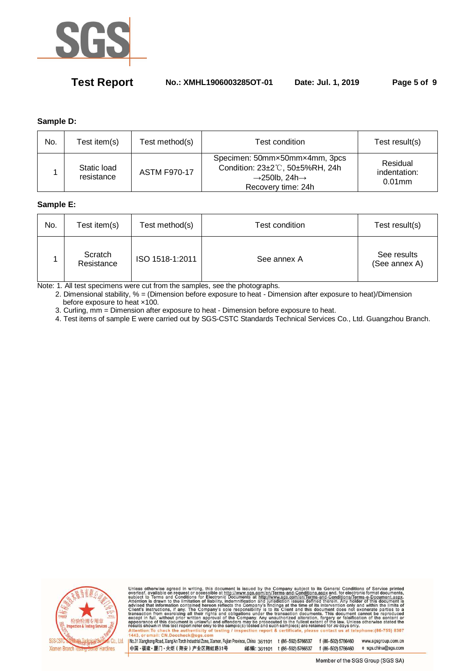

# **Test Report No.: XMHL1906003285OT-01 Date: Jul. 1, 2019 Page 5 of 9**

### **Sample D:**

| No. | Test item(s)              | Test method(s)      | Test condition                                                                                                                   | Test result(s)                        |
|-----|---------------------------|---------------------|----------------------------------------------------------------------------------------------------------------------------------|---------------------------------------|
|     | Static load<br>resistance | <b>ASTM F970-17</b> | Specimen: 50mmx50mmx4mm, 3pcs<br>Condition: 23±2°C, 50±5%RH, 24h<br>$\rightarrow$ 250lb, 24h $\rightarrow$<br>Recovery time: 24h | Residual<br>indentation:<br>$0.01$ mm |

### **Sample E:**

| No. | Test item(s)          | Test method(s)  | Test condition | Test result(s)               |
|-----|-----------------------|-----------------|----------------|------------------------------|
|     | Scratch<br>Resistance | ISO 1518-1:2011 | See annex A    | See results<br>(See annex A) |

Note: 1. All test specimens were cut from the samples, see the photographs.

2. Dimensional stability, % = (Dimension before exposure to heat - Dimension after exposure to heat)/Dimension before exposure to heat ×100.

3. Curling, mm = Dimension after exposure to heat - Dimension before exposure to heat.

4. Test items of sample E were carried out by SGS-CSTC Standards Technical Services Co., Ltd. Guangzhou Branch.



Unless otherwise agreed in writing, this document is issued by the Company subject to its General Conditions of Service printed<br>overleaf, available on request or accessible at http://www.sgs.com/en/Terms-and-Conditions.asp

No.31 Xianghong Road, Xiang An Torch Industrial Zone, Xiamen, Fujian Province, China 361101 t (86-592) 5766537 f (86-592) 5766460 www.sgsgroup.com.cn 中国·福建·厦门·火炬 (翔安) 产业区翔虹路31号 邮编: 361101 t (86-592) 5766537 f (86-592) 5766460 e sgs.china@sgs.com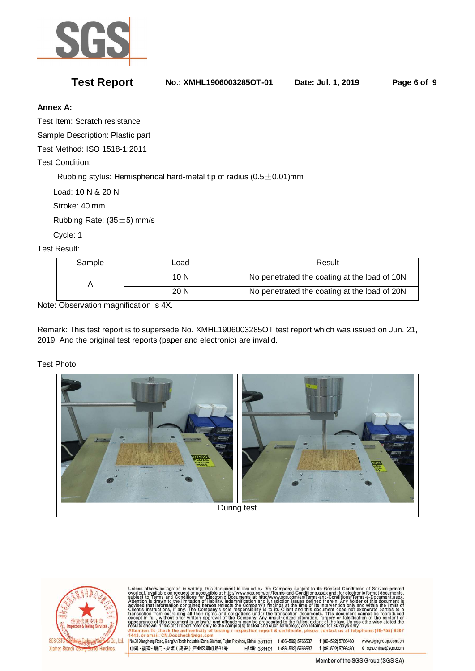

**Test Report No.: XMHL1906003285OT-01 Date: Jul. 1, 2019 Page 6 of 9** 

### **Annex A:**

Test Item: Scratch resistance

Sample Description: Plastic part

Test Method: ISO 1518-1:2011

Test Condition:

Rubbing stylus: Hemispherical hard-metal tip of radius  $(0.5\pm 0.01)$ mm

Load: 10 N & 20 N

Stroke: 40 mm

Rubbing Rate:  $(35±5)$  mm/s

Cycle: 1

Test Result:

| Sample | ∟oad | Result                                       |
|--------|------|----------------------------------------------|
|        | 10 N | No penetrated the coating at the load of 10N |
|        | 20 N | No penetrated the coating at the load of 20N |

Note: Observation magnification is 4X.

Remark: This test report is to supersede No. XMHL1906003285OT test report which was issued on Jun. 21, 2019. And the original test reports (paper and electronic) are invalid.

Test Photo:





Unless otherwise agreed in writing, this document is issued by the Company subject to its General Conditions of Service printed overleaf, available on request or accessible at <u>http://www.sgs.com/en/Terms-and-Conditions.a</u>

No.31 Xianghong Road, Xiang An Torch Industrial Zone, Xiamen, Fujian Province, China 361101 t (86-592) 5766537 f (86-592) 5766460 www.sgsgroup.com.cn 中国·福建·厦门·火炬 (翔安) 产业区翔虹路31号 邮编: 361101 t (86-592) 5766537 f (86-592) 5766460 e sgs.china@sgs.com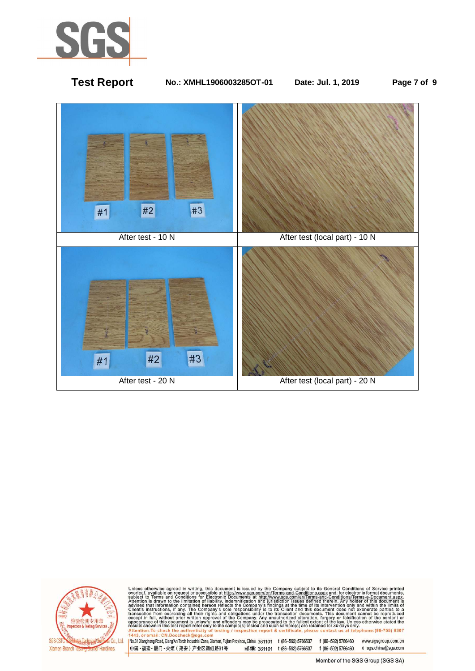

# **Test Report No.: XMHL1906003285OT-01 Date: Jul. 1, 2019 Page 7 of 9**  #3  $#2$  $#1$ After test - 10 N After test (local part) - 10 N  $#3$ #2  $#1$ After test - 20 N After test (local part) - 20 N



Unless otherwise agreed in writing, this document is issued by the Company subject to its General Conditions of Service printed<br>overleaf, available on request or accessible at http://www.sgs.com/en/Terms-and-Conditions.asp

No.31 Xianghong Road, Xiang An Torch Industrial Zone, Xiamen, Fujian Province, China 361101 t (86-592) 5766537 f (86-592) 5766460 www.sgsgroup.com.cn 中国·福建·厦门·火炬 (翔安) 产业区翔虹路31号 邮编: 361101 t (86-592) 5766537 f (86-592) 5766460 e sgs.china@sgs.com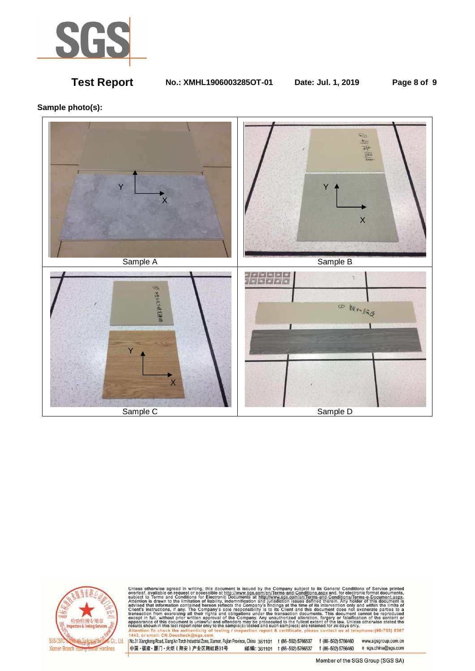

**Test Report No.: XMHL1906003285OT-01 Date: Jul. 1, 2019 Page 8 of 9** 

### **Sample photo(s):**





Unless otherwise agreed in writing, this document is issued by the Company subject to its General Conditions of Service printed<br>overleaf, available on request or accessible at http://www.sgs.com/en/Terms-and-Conditions.asp

No.31 Xianghong Road, Xiang'An Torch Industrial Zone, Xiamen, Fujian Province, China 361101 t (86-592) 5766537 f (86-592) 5766460 www.sgsgroup.com.cn 中国·福建·厦门·火炬 (翔安) 产业区翔虹路31号 邮编: 361101 t (86-592) 5766537 f (86-592) 5766460 e sgs.china@sgs.com